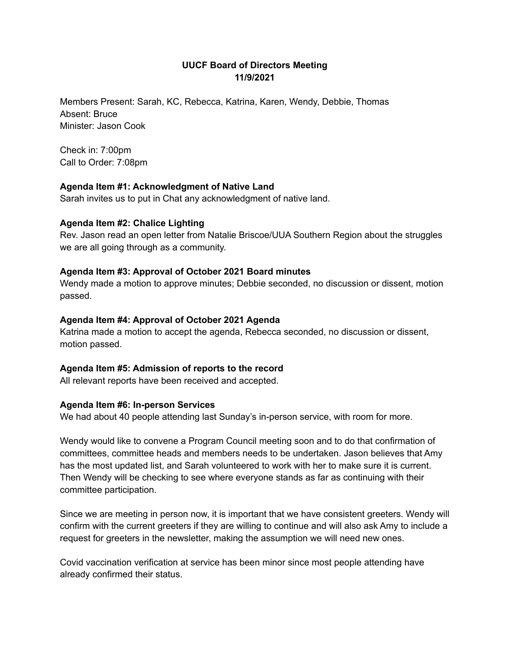# **UUCF Board of Directors Meeting 11/9/2021**

Members Present: Sarah, KC, Rebecca, Katrina, Karen, Wendy, Debbie, Thomas Absent: Bruce Minister: Jason Cook

Check in: 7:00pm Call to Order: 7:08pm

## **Agenda Item #1: Acknowledgment of Native Land**

Sarah invites us to put in Chat any acknowledgment of native land.

## **Agenda Item #2: Chalice Lighting**

Rev. Jason read an open letter from Natalie Briscoe/UUA Southern Region about the struggles we are all going through as a community.

## **Agenda Item #3: Approval of October 2021 Board minutes**

Wendy made a motion to approve minutes; Debbie seconded, no discussion or dissent, motion passed.

## **Agenda Item #4: Approval of October 2021 Agenda**

Katrina made a motion to accept the agenda, Rebecca seconded, no discussion or dissent, motion passed.

## **Agenda Item #5: Admission of reports to the record**

All relevant reports have been received and accepted.

#### **Agenda Item #6: In-person Services**

We had about 40 people attending last Sunday's in-person service, with room for more.

Wendy would like to convene a Program Council meeting soon and to do that confirmation of committees, committee heads and members needs to be undertaken. Jason believes that Amy has the most updated list, and Sarah volunteered to work with her to make sure it is current. Then Wendy will be checking to see where everyone stands as far as continuing with their committee participation.

Since we are meeting in person now, it is important that we have consistent greeters. Wendy will confirm with the current greeters if they are willing to continue and will also ask Amy to include a request for greeters in the newsletter, making the assumption we will need new ones.

Covid vaccination verification at service has been minor since most people attending have already confirmed their status.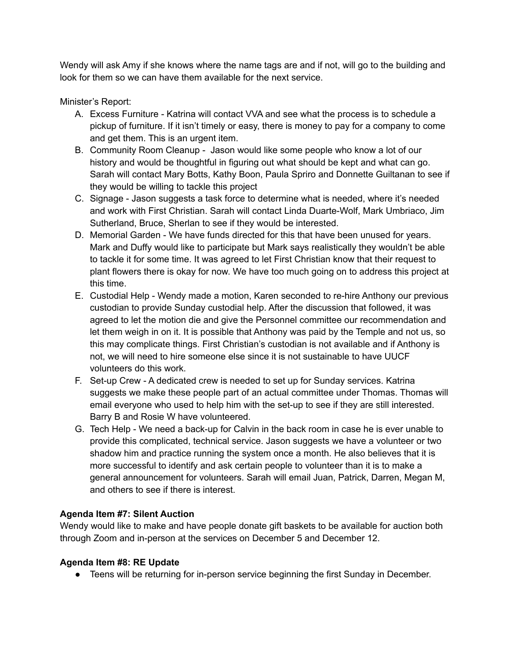Wendy will ask Amy if she knows where the name tags are and if not, will go to the building and look for them so we can have them available for the next service.

Minister's Report:

- A. Excess Furniture Katrina will contact VVA and see what the process is to schedule a pickup of furniture. If it isn't timely or easy, there is money to pay for a company to come and get them. This is an urgent item.
- B. Community Room Cleanup Jason would like some people who know a lot of our history and would be thoughtful in figuring out what should be kept and what can go. Sarah will contact Mary Botts, Kathy Boon, Paula Spriro and Donnette Guiltanan to see if they would be willing to tackle this project
- C. Signage Jason suggests a task force to determine what is needed, where it's needed and work with First Christian. Sarah will contact Linda Duarte-Wolf, Mark Umbriaco, Jim Sutherland, Bruce, Sherlan to see if they would be interested.
- D. Memorial Garden We have funds directed for this that have been unused for years. Mark and Duffy would like to participate but Mark says realistically they wouldn't be able to tackle it for some time. It was agreed to let First Christian know that their request to plant flowers there is okay for now. We have too much going on to address this project at this time.
- E. Custodial Help Wendy made a motion, Karen seconded to re-hire Anthony our previous custodian to provide Sunday custodial help. After the discussion that followed, it was agreed to let the motion die and give the Personnel committee our recommendation and let them weigh in on it. It is possible that Anthony was paid by the Temple and not us, so this may complicate things. First Christian's custodian is not available and if Anthony is not, we will need to hire someone else since it is not sustainable to have UUCF volunteers do this work.
- F. Set-up Crew A dedicated crew is needed to set up for Sunday services. Katrina suggests we make these people part of an actual committee under Thomas. Thomas will email everyone who used to help him with the set-up to see if they are still interested. Barry B and Rosie W have volunteered.
- G. Tech Help We need a back-up for Calvin in the back room in case he is ever unable to provide this complicated, technical service. Jason suggests we have a volunteer or two shadow him and practice running the system once a month. He also believes that it is more successful to identify and ask certain people to volunteer than it is to make a general announcement for volunteers. Sarah will email Juan, Patrick, Darren, Megan M, and others to see if there is interest.

# **Agenda Item #7: Silent Auction**

Wendy would like to make and have people donate gift baskets to be available for auction both through Zoom and in-person at the services on December 5 and December 12.

# **Agenda Item #8: RE Update**

● Teens will be returning for in-person service beginning the first Sunday in December.